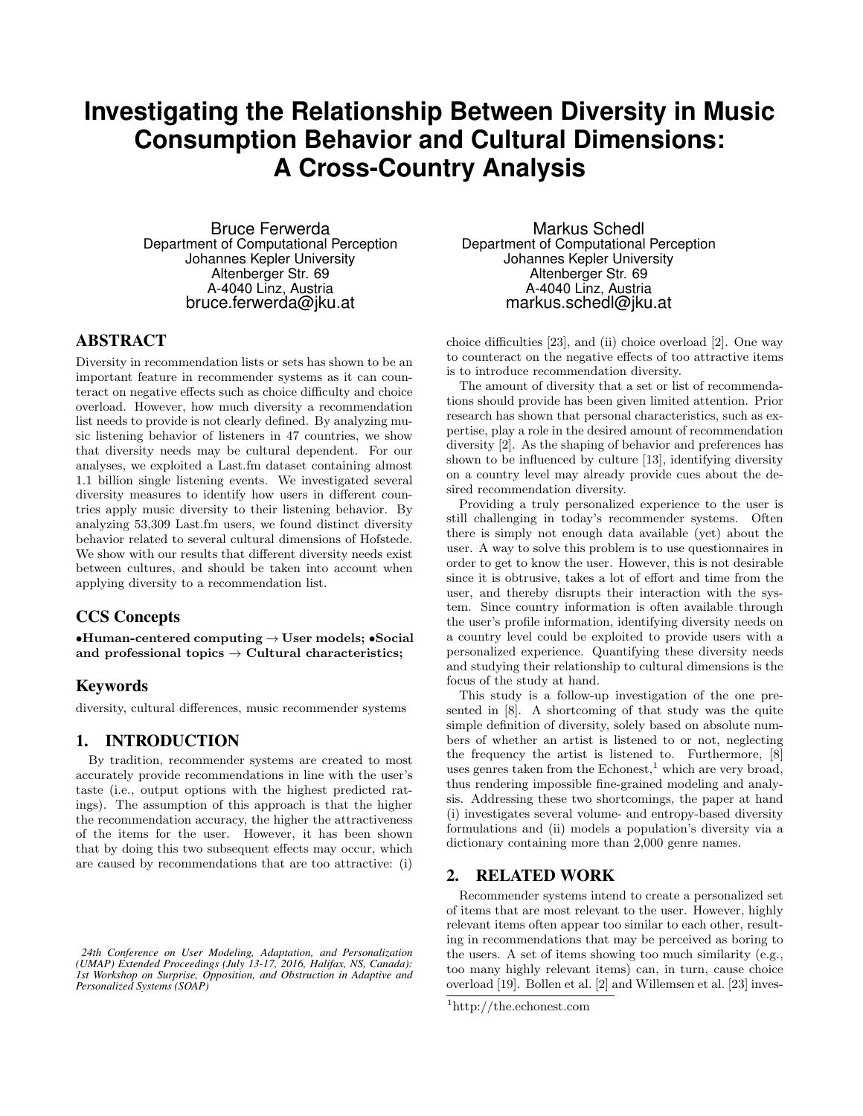# **Investigating the Relationship Between Diversity in Music Consumption Behavior and Cultural Dimensions: A Cross-Country Analysis**

Bruce Ferwerda Department of Computational Perception Johannes Kepler University Altenberger Str. 69 A-4040 Linz, Austria bruce.ferwerda@jku.at

# ABSTRACT

Diversity in recommendation lists or sets has shown to be an important feature in recommender systems as it can counteract on negative effects such as choice difficulty and choice overload. However, how much diversity a recommendation list needs to provide is not clearly defined. By analyzing music listening behavior of listeners in 47 countries, we show that diversity needs may be cultural dependent. For our analyses, we exploited a Last.fm dataset containing almost 1.1 billion single listening events. We investigated several diversity measures to identify how users in different countries apply music diversity to their listening behavior. By analyzing 53,309 Last.fm users, we found distinct diversity behavior related to several cultural dimensions of Hofstede. We show with our results that different diversity needs exist between cultures, and should be taken into account when applying diversity to a recommendation list.

## CCS Concepts

•Human-centered computing  $\rightarrow$  User models; •Social and professional topics  $\rightarrow$  Cultural characteristics;

## Keywords

diversity, cultural differences, music recommender systems

#### 1. INTRODUCTION

By tradition, recommender systems are created to most accurately provide recommendations in line with the user's taste (i.e., output options with the highest predicted ratings). The assumption of this approach is that the higher the recommendation accuracy, the higher the attractiveness of the items for the user. However, it has been shown that by doing this two subsequent effects may occur, which are caused by recommendations that are too attractive: (i)

Markus Schedl Department of Computational Perception Johannes Kepler University Altenberger Str. 69 A-4040 Linz, Austria markus.schedl@jku.at

choice difficulties [23], and (ii) choice overload [2]. One way to counteract on the negative effects of too attractive items is to introduce recommendation diversity.

The amount of diversity that a set or list of recommendations should provide has been given limited attention. Prior research has shown that personal characteristics, such as expertise, play a role in the desired amount of recommendation diversity [2]. As the shaping of behavior and preferences has shown to be influenced by culture [13], identifying diversity on a country level may already provide cues about the desired recommendation diversity.

Providing a truly personalized experience to the user is still challenging in today's recommender systems. Often there is simply not enough data available (yet) about the user. A way to solve this problem is to use questionnaires in order to get to know the user. However, this is not desirable since it is obtrusive, takes a lot of effort and time from the user, and thereby disrupts their interaction with the system. Since country information is often available through the user's profile information, identifying diversity needs on a country level could be exploited to provide users with a personalized experience. Quantifying these diversity needs and studying their relationship to cultural dimensions is the focus of the study at hand.

This study is a follow-up investigation of the one presented in [8]. A shortcoming of that study was the quite simple definition of diversity, solely based on absolute numbers of whether an artist is listened to or not, neglecting the frequency the artist is listened to. Furthermore, [8] uses genres taken from the Echonest, $\frac{1}{1}$  which are very broad, thus rendering impossible fine-grained modeling and analysis. Addressing these two shortcomings, the paper at hand (i) investigates several volume- and entropy-based diversity formulations and (ii) models a population's diversity via a dictionary containing more than 2,000 genre names.

# 2. RELATED WORK

Recommender systems intend to create a personalized set of items that are most relevant to the user. However, highly relevant items often appear too similar to each other, resulting in recommendations that may be perceived as boring to the users. A set of items showing too much similarity (e.g., too many highly relevant items) can, in turn, cause choice overload [19]. Bollen et al. [2] and Willemsen et al. [23] inves-

*<sup>24</sup>th Conference on User Modeling, Adaptation, and Personalization (UMAP) Extended Proceedings (July 13-17, 2016, Halifax, NS, Canada): 1st Workshop on Surprise, Opposition, and Obstruction in Adaptive and Personalized Systems (SOAP)*

<sup>1</sup>http://the.echonest.com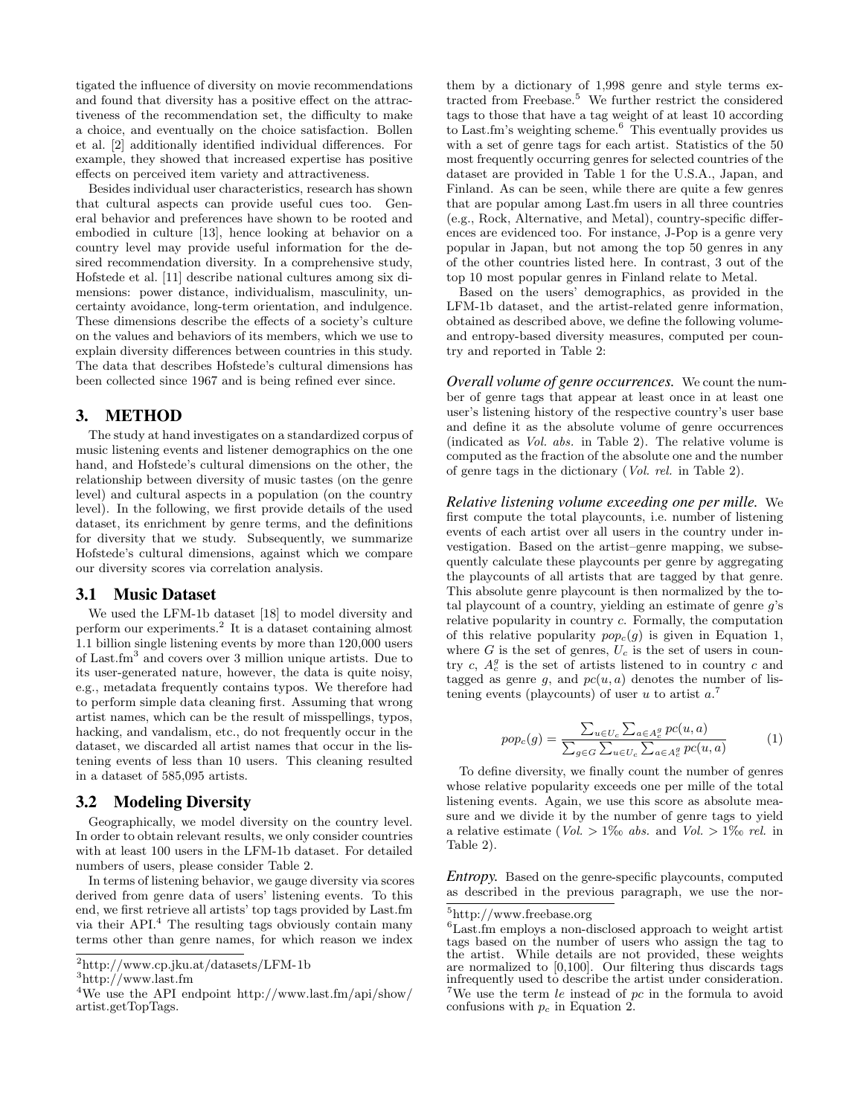tigated the influence of diversity on movie recommendations and found that diversity has a positive effect on the attractiveness of the recommendation set, the difficulty to make a choice, and eventually on the choice satisfaction. Bollen et al. [2] additionally identified individual differences. For example, they showed that increased expertise has positive effects on perceived item variety and attractiveness.

Besides individual user characteristics, research has shown that cultural aspects can provide useful cues too. General behavior and preferences have shown to be rooted and embodied in culture [13], hence looking at behavior on a country level may provide useful information for the desired recommendation diversity. In a comprehensive study, Hofstede et al. [11] describe national cultures among six dimensions: power distance, individualism, masculinity, uncertainty avoidance, long-term orientation, and indulgence. These dimensions describe the effects of a society's culture on the values and behaviors of its members, which we use to explain diversity differences between countries in this study. The data that describes Hofstede's cultural dimensions has been collected since 1967 and is being refined ever since.

#### 3. METHOD

The study at hand investigates on a standardized corpus of music listening events and listener demographics on the one hand, and Hofstede's cultural dimensions on the other, the relationship between diversity of music tastes (on the genre level) and cultural aspects in a population (on the country level). In the following, we first provide details of the used dataset, its enrichment by genre terms, and the definitions for diversity that we study. Subsequently, we summarize Hofstede's cultural dimensions, against which we compare our diversity scores via correlation analysis.

#### 3.1 Music Dataset

We used the LFM-1b dataset [18] to model diversity and perform our experiments.<sup>2</sup> It is a dataset containing almost 1.1 billion single listening events by more than 120,000 users of Last.fm<sup>3</sup> and covers over 3 million unique artists. Due to its user-generated nature, however, the data is quite noisy, e.g., metadata frequently contains typos. We therefore had to perform simple data cleaning first. Assuming that wrong artist names, which can be the result of misspellings, typos, hacking, and vandalism, etc., do not frequently occur in the dataset, we discarded all artist names that occur in the listening events of less than 10 users. This cleaning resulted in a dataset of 585,095 artists.

#### 3.2 Modeling Diversity

Geographically, we model diversity on the country level. In order to obtain relevant results, we only consider countries with at least 100 users in the LFM-1b dataset. For detailed numbers of users, please consider Table 2.

In terms of listening behavior, we gauge diversity via scores derived from genre data of users' listening events. To this end, we first retrieve all artists' top tags provided by Last.fm via their API.<sup>4</sup> The resulting tags obviously contain many terms other than genre names, for which reason we index

them by a dictionary of 1,998 genre and style terms extracted from Freebase.<sup>5</sup> We further restrict the considered tags to those that have a tag weight of at least 10 according to Last.fm's weighting scheme.<sup>6</sup> This eventually provides us with a set of genre tags for each artist. Statistics of the 50 most frequently occurring genres for selected countries of the dataset are provided in Table 1 for the U.S.A., Japan, and Finland. As can be seen, while there are quite a few genres that are popular among Last.fm users in all three countries (e.g., Rock, Alternative, and Metal), country-specific differences are evidenced too. For instance, J-Pop is a genre very popular in Japan, but not among the top 50 genres in any of the other countries listed here. In contrast, 3 out of the top 10 most popular genres in Finland relate to Metal.

Based on the users' demographics, as provided in the LFM-1b dataset, and the artist-related genre information, obtained as described above, we define the following volumeand entropy-based diversity measures, computed per country and reported in Table 2:

*Overall volume of genre occurrences.* We count the number of genre tags that appear at least once in at least one user's listening history of the respective country's user base and define it as the absolute volume of genre occurrences (indicated as Vol. abs. in Table 2). The relative volume is computed as the fraction of the absolute one and the number of genre tags in the dictionary (Vol. rel. in Table 2).

*Relative listening volume exceeding one per mille.* We first compute the total playcounts, i.e. number of listening events of each artist over all users in the country under investigation. Based on the artist–genre mapping, we subsequently calculate these playcounts per genre by aggregating the playcounts of all artists that are tagged by that genre. This absolute genre playcount is then normalized by the total playcount of a country, yielding an estimate of genre g's relative popularity in country c. Formally, the computation of this relative popularity  $pop_c(g)$  is given in Equation 1, where G is the set of genres,  $U_c$  is the set of users in country  $c, A_c^g$  is the set of artists listened to in country  $c$  and tagged as genre g, and  $pc(u, a)$  denotes the number of listening events (playcounts) of user u to artist  $a^2$ .

$$
pop_c(g) = \frac{\sum_{u \in U_c} \sum_{a \in A_c^g} pc(u, a)}{\sum_{g \in G} \sum_{u \in U_c} \sum_{a \in A_c^g} pc(u, a)}
$$
(1)

To define diversity, we finally count the number of genres whose relative popularity exceeds one per mille of the total listening events. Again, we use this score as absolute measure and we divide it by the number of genre tags to yield a relative estimate ( $Vol. > 1\%$  abs. and  $Vol. > 1\%$  rel. in Table 2).

*Entropy.* Based on the genre-specific playcounts, computed as described in the previous paragraph, we use the nor-

<sup>2</sup>http://www.cp.jku.at/datasets/LFM-1b

<sup>3</sup>http://www.last.fm

<sup>&</sup>lt;sup>4</sup>We use the API endpoint http://www.last.fm/api/show/ artist.getTopTags.

 ${\rm ^5http://www.freebase.org}$ 

<sup>6</sup>Last.fm employs a non-disclosed approach to weight artist tags based on the number of users who assign the tag to the artist. While details are not provided, these weights are normalized to  $[0,100]$ . Our filtering thus discards tags infrequently used to describe the artist under consideration. <sup>7</sup>We use the term *le* instead of  $pc$  in the formula to avoid confusions with  $p_c$  in Equation 2.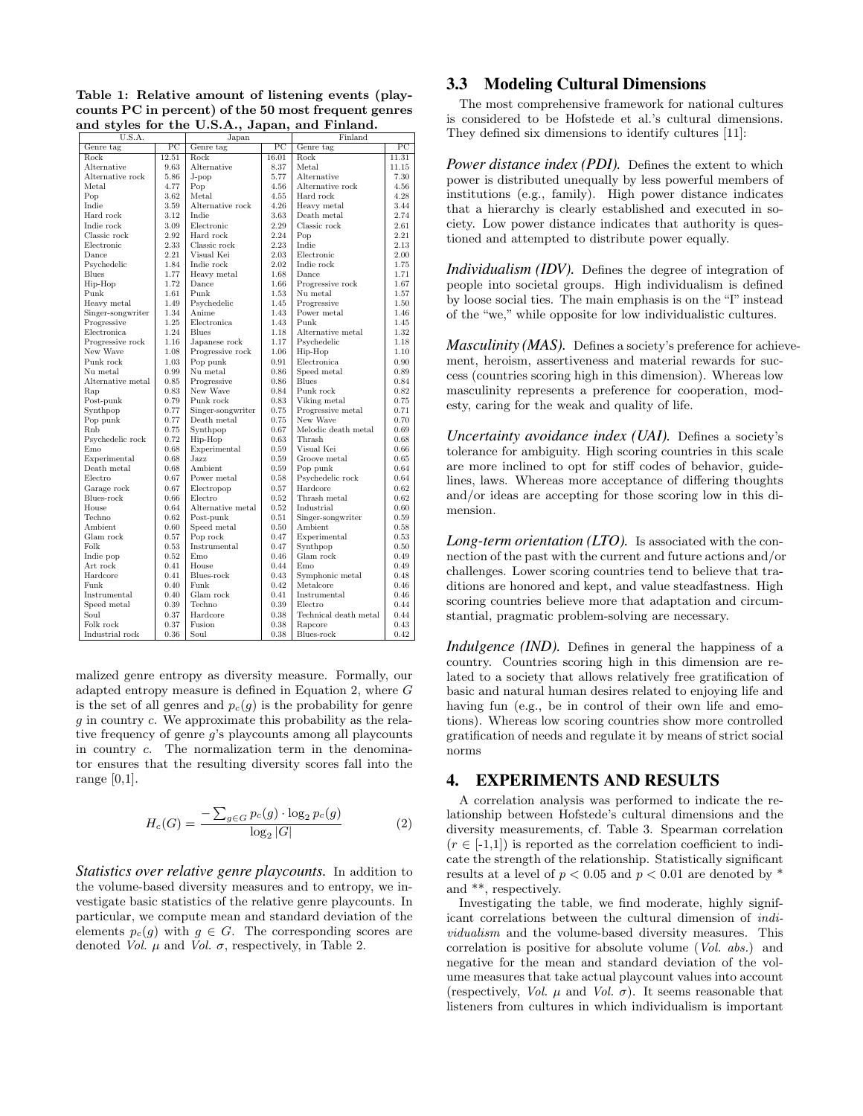Table 1: Relative amount of listening events (playcounts PC in percent) of the 50 most frequent genres and styles for the U.S.A., Japan, and Finland.

| Genre tag<br>$_{\rm PC}$<br>Genre tag<br>$_{PC}$<br>Genre tag<br>Rock<br>12.51<br>Rock<br>16.01<br>Rock<br>11.31 | $_{\rm PC}$ |
|------------------------------------------------------------------------------------------------------------------|-------------|
|                                                                                                                  |             |
|                                                                                                                  |             |
| Alternative<br>9.63<br>Alternative<br>8.37<br>Metal<br>11.15                                                     |             |
| Alternative rock<br>5.86<br>$J$ -pop<br>5.77<br>Alternative                                                      | 7.30        |
| Metal<br>4.77<br>Pop<br>Alternative rock<br>4.56                                                                 | 4.56        |
| Pop<br>3.62<br>Metal<br>4.55<br>Hard rock                                                                        | 4.28        |
| Alternative rock<br>Indie<br>3.59<br>4.26<br>Heavy metal                                                         | 3.44        |
| Hard rock<br>3.12<br>Indie<br>3.63<br>Death metal                                                                | 2.74        |
| 2.29<br>Classic rock<br>Indie rock<br>3.09<br>Electronic                                                         | 2.61        |
| Classic rock<br>2.92<br>Hard rock<br>2.24<br>Pop                                                                 | 2.21        |
| Electronic<br>2.33<br>Classic rock<br>2.23<br>Indie                                                              | 2.13        |
| 2.21<br>Visual Kei<br>2.03<br>Electronic<br>Dance                                                                | 2.00        |
| Indie rock<br>1.84<br>Indie rock<br>2.02<br>Psychedelic                                                          | 1.75        |
| <b>Blues</b><br>1.77<br>Heavy metal<br>1.68<br>Dance                                                             | 1.71        |
| 1.72<br>Hip-Hop<br>Dance<br>1.66<br>Progressive rock                                                             | 1.67        |
| Punk<br>1.61<br>Punk<br>1.53<br>Nu metal                                                                         | 1.57        |
| Psychedelic<br>Heavy metal<br>1.49<br>1.45<br>Progressive                                                        | 1.50        |
| 1.34<br>Anime<br>1.43<br>Power metal<br>Singer-songwriter                                                        | 1.46        |
| Electronica<br>Progressive<br>1.25<br>1.43<br>Punk                                                               | 1.45        |
| 1.24<br>Electronica<br><b>Blues</b><br>1.18<br>Alternative metal                                                 | 1.32        |
| Progressive rock<br>1.16<br>1.17<br>Psychedelic<br>Japanese rock                                                 | 1.18        |
| New Wave<br>1.08<br>Progressive rock<br>1.06<br>Hip-Hop                                                          | 1.10        |
| Punk rock<br>1.03<br>0.91<br>Electronica<br>Pop punk                                                             | 0.90        |
| Nu metal<br>0.99<br>Speed metal<br>Nu metal<br>0.86                                                              | 0.89        |
| 0.85<br><b>Blues</b><br>Alternative metal<br>Progressive<br>0.86                                                 | 0.84        |
| 0.83<br>New Wave<br>0.84<br>Punk rock<br>Rap                                                                     | 0.82        |
| Punk rock<br>Post-punk<br>0.79<br>0.83<br>Viking metal                                                           | 0.75        |
| 0.77<br>Singer-songwriter<br>Synthpop<br>0.75<br>Progressive metal                                               | 0.71        |
| New Wave<br>Pop punk<br>0.77<br>Death metal<br>0.75                                                              | 0.70        |
| 0.75<br>Melodic death metal<br>Rnb<br>Synthpop<br>0.67                                                           | 0.69        |
| Psychedelic rock<br>0.72<br>0.63<br>Thrash<br>Hip-Hop                                                            | 0.68        |
| 0.68<br>Experimental<br>0.59<br>Visual Kei<br>Emo                                                                | 0.66        |
| Experimental<br>Jazz.<br>Groove metal<br>0.68<br>0.59                                                            | 0.65        |
| Death metal<br>0.68<br><b>Ambient</b><br>0.59<br>Pop punk                                                        | 0.64        |
| Psychedelic rock<br>Electro<br>0.67<br>Power metal<br>0.58                                                       | 0.64        |
| 0.67<br>0.57<br>Hardcore<br>Garage rock<br>Electropop                                                            | 0.62        |
| Blues-rock<br>Thrash metal<br>0.66<br>Electro<br>0.52                                                            | 0.62        |
| 0.64<br>0.52<br>House<br>Alternative metal<br>Industrial                                                         | 0.60        |
| Techno<br>0.62<br>0.51<br>Post-punk<br>Singer-songwriter                                                         | 0.59        |
| Ambient<br>0.60<br>Speed metal<br>0.50<br>Ambient                                                                | 0.58        |
| Glam rock<br>0.57<br>Pop rock<br>Experimental<br>0.47                                                            | 0.53        |
| Instrumental<br>Folk<br>0.53<br>0.47<br>Synthpop                                                                 | 0.50        |
| Glam rock<br>Indie pop<br>0.52<br>Emo<br>0.46                                                                    | 0.49        |
| Art rock<br>0.41<br>House<br>0.44<br>E <sub>mo</sub>                                                             | 0.49        |
| Hardcore<br>Blues-rock<br>0.41<br>0.43<br>Symphonic metal                                                        | 0.48        |
| 0.40<br>Funk<br>0.42<br>Metalcore<br>Funk                                                                        | 0.46        |
| Instrumental<br>0.40<br>Glam rock<br>0.41<br>Instrumental                                                        | 0.46        |
| 0.39<br>Techno<br>Speed metal<br>0.39<br>Electro                                                                 | 0.44        |
| Soul<br>0.37<br>Hardcore<br>0.38<br>Technical death metal                                                        | 0.44        |
| Folk rock<br>0.37<br>Fusion<br>0.38<br>Rapcore                                                                   | 0.43        |
| Industrial rock<br>0.36<br>Soul<br>0.38<br>Blues-rock                                                            | 0.42        |

malized genre entropy as diversity measure. Formally, our adapted entropy measure is defined in Equation 2, where G is the set of all genres and  $p_c(g)$  is the probability for genre  $g$  in country  $c$ . We approximate this probability as the relative frequency of genre g's playcounts among all playcounts in country c. The normalization term in the denominator ensures that the resulting diversity scores fall into the range  $[0,1]$ .

$$
H_c(G) = \frac{-\sum_{g \in G} p_c(g) \cdot \log_2 p_c(g)}{\log_2 |G|} \tag{2}
$$

*Statistics over relative genre playcounts.* In addition to the volume-based diversity measures and to entropy, we investigate basic statistics of the relative genre playcounts. In particular, we compute mean and standard deviation of the elements  $p_c(g)$  with  $g \in G$ . The corresponding scores are denoted Vol.  $\mu$  and Vol.  $\sigma$ , respectively, in Table 2.

#### 3.3 Modeling Cultural Dimensions

The most comprehensive framework for national cultures is considered to be Hofstede et al.'s cultural dimensions. They defined six dimensions to identify cultures [11]:

*Power distance index (PDI).* Defines the extent to which power is distributed unequally by less powerful members of institutions (e.g., family). High power distance indicates that a hierarchy is clearly established and executed in society. Low power distance indicates that authority is questioned and attempted to distribute power equally.

*Individualism (IDV).* Defines the degree of integration of people into societal groups. High individualism is defined by loose social ties. The main emphasis is on the "I" instead of the "we," while opposite for low individualistic cultures.

*Masculinity (MAS).* Defines a society's preference for achievement, heroism, assertiveness and material rewards for success (countries scoring high in this dimension). Whereas low masculinity represents a preference for cooperation, modesty, caring for the weak and quality of life.

*Uncertainty avoidance index (UAI).* Defines a society's tolerance for ambiguity. High scoring countries in this scale are more inclined to opt for stiff codes of behavior, guidelines, laws. Whereas more acceptance of differing thoughts and/or ideas are accepting for those scoring low in this dimension.

*Long-term orientation (LTO).* Is associated with the connection of the past with the current and future actions and/or challenges. Lower scoring countries tend to believe that traditions are honored and kept, and value steadfastness. High scoring countries believe more that adaptation and circumstantial, pragmatic problem-solving are necessary.

*Indulgence (IND)*. Defines in general the happiness of a country. Countries scoring high in this dimension are related to a society that allows relatively free gratification of basic and natural human desires related to enjoying life and having fun (e.g., be in control of their own life and emotions). Whereas low scoring countries show more controlled gratification of needs and regulate it by means of strict social norms

### 4. EXPERIMENTS AND RESULTS

A correlation analysis was performed to indicate the relationship between Hofstede's cultural dimensions and the diversity measurements, cf. Table 3. Spearman correlation  $(r \in [-1,1])$  is reported as the correlation coefficient to indicate the strength of the relationship. Statistically significant results at a level of  $p < 0.05$  and  $p < 0.01$  are denoted by \* and \*\*, respectively.

Investigating the table, we find moderate, highly significant correlations between the cultural dimension of individualism and the volume-based diversity measures. This correlation is positive for absolute volume (Vol. abs.) and negative for the mean and standard deviation of the volume measures that take actual playcount values into account (respectively, *Vol.*  $\mu$  and *Vol.*  $\sigma$ ). It seems reasonable that listeners from cultures in which individualism is important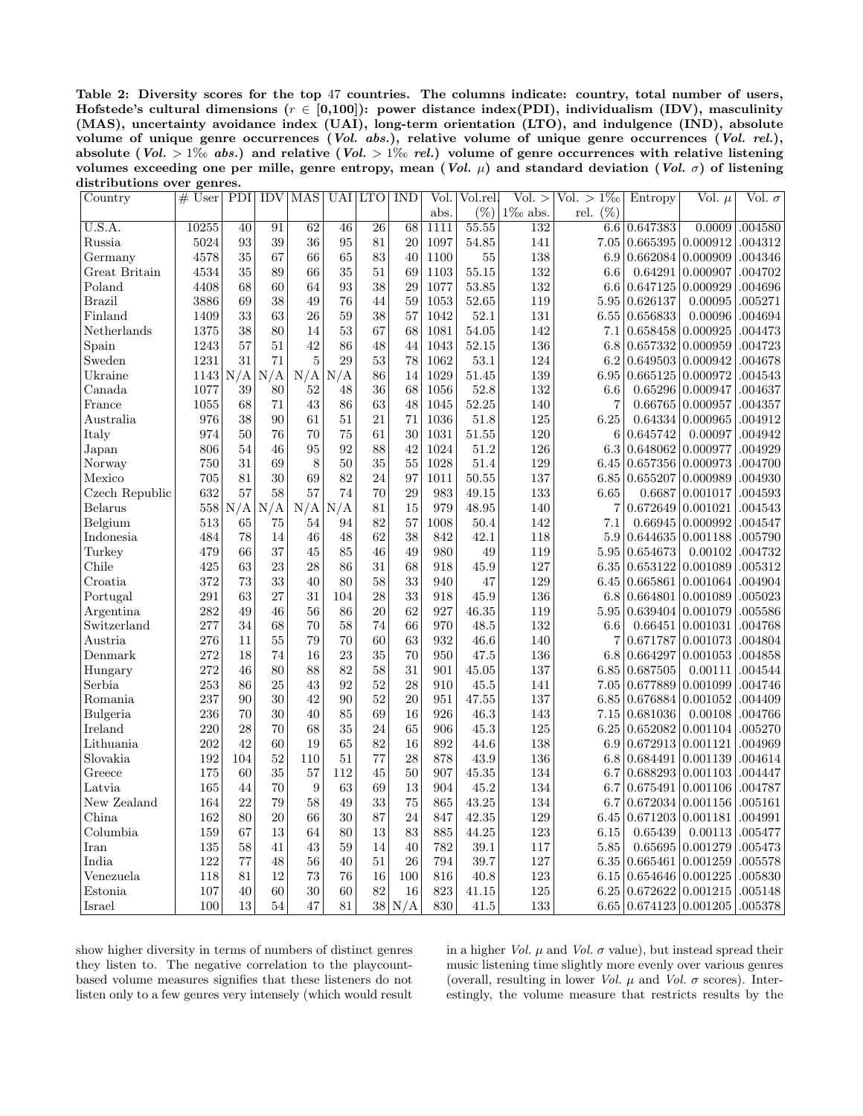Table 2: Diversity scores for the top 47 countries. The columns indicate: country, total number of users, Hofstede's cultural dimensions ( $r \in [0,100]$ ): power distance index(PDI), individualism (IDV), masculinity (MAS), uncertainty avoidance index (UAI), long-term orientation (LTO), and indulgence (IND), absolute volume of unique genre occurrences (Vol. abs.), relative volume of unique genre occurrences (Vol. rel.), absolute (Vol. > 1‰ abs.) and relative (Vol. > 1‰ rel.) volume of genre occurrences with relative listening volumes exceeding one per mille, genre entropy, mean (Vol.  $\mu$ ) and standard deviation (Vol.  $\sigma$ ) of listening distributions over genres.

| Country        | $#$ User | PDI             | <b>IDV</b>              | <b>MAS</b>      |                             | UAI LTO         | <b>IND</b> | Vol. | Vol.rel | $\overline{\text{Vol.}} >$ | $Vol. > 1\%$   | Entropy                | Vol. $\mu$ | Vol. $\sigma$ |
|----------------|----------|-----------------|-------------------------|-----------------|-----------------------------|-----------------|------------|------|---------|----------------------------|----------------|------------------------|------------|---------------|
|                |          |                 |                         |                 |                             |                 |            | abs. | $(\%)$  | $1\%$ abs.                 | rel.<br>$(\%)$ |                        |            |               |
| U.S.A.         | 10255    | $\overline{40}$ | 91                      | $\overline{62}$ | 46                          | $\overline{26}$ | 68         | 1111 | 55.55   | 132                        | 6.6            | 0.647383               | 0.0009     | .004580       |
| Russia         | 5024     | 93              | 39                      | 36              | 95                          | 81              | 20         | 1097 | 54.85   | 141                        | 7.05           | 0.665395               | 0.000912   | .004312       |
| Germany        | 4578     | 35              | 67                      | 66              | 65                          | 83              | 40         | 1100 | 55      | 138                        | 6.9            | 0.662084               | 0.000909   | .004346       |
| Great Britain  | 4534     | 35              | 89                      | 66              | 35                          | 51              | 69         | 1103 | 55.15   | 132                        | 6.6            | 0.64291                | 0.000907   | .004702       |
| Poland         | 4408     | 68              | 60                      | 64              | 93                          | 38              | 29         | 1077 | 53.85   | 132                        | $6.6\,$        | 0.647125               | 0.000929   | .004696       |
| <b>Brazil</b>  | 3886     | 69              | 38                      | 49              | 76                          | 44              | 59         | 1053 | 52.65   | 119                        | 5.95           | 0.626137               | 0.00095    | .005271       |
| Finland        | 1409     | 33              | 63                      | 26              | 59                          | 38              | 57         | 1042 | 52.1    | 131                        | 6.55           | 0.656833               | 0.00096    | .004694       |
| Netherlands    | 1375     | 38              | 80                      | 14              | 53                          | 67              | 68         | 1081 | 54.05   | 142                        | 7.1            | 0.658458               | 0.000925   | .004473       |
| $S$ pain       | 1243     | 57              | 51                      | 42              | 86                          | 48              | 44         | 1043 | 52.15   | 136                        | 6.8            | 0.657332               | 0.000959   | .004723       |
| Sweden         | 1231     | 31              | 71                      | 5               | 29                          | 53              | 78         | 1062 | 53.1    | 124                        | 6.2            | 0.649503               | 0.000942   | .004678       |
| Ukraine        | 1143     | N/A             | $\mathrm{N}/\mathrm{A}$ | N/A             | N/A                         | 86              | 14         | 1029 | 51.45   | 139                        | 6.95           | 0.665125               | 0.000972   | .004543       |
| Canada         | 1077     | 39              | 80                      | 52              | 48                          | 36              | 68         | 1056 | 52.8    | 132                        | 6.6            | 0.65296                | 0.000947   | .004637       |
| France         | 1055     | 68              | 71                      | 43              | 86                          | 63              | 48         | 1045 | 52.25   | 140                        | $\overline{7}$ | 0.66765                | 0.000957   | .004357       |
| Australia      | 976      | 38              | 90                      | 61              | 51                          | 21              | 71         | 1036 | 51.8    | 125                        | 6.25           | 0.64334                | 0.000965   | .004912       |
| Italy          | 974      | 50              | 76                      | 70              | 75                          | 61              | 30         | 1031 | 51.55   | 120                        | 6              | 0.645742               | 0.00097    | .004942       |
| Japan          | 806      | 54              | 46                      | 95              | 92                          | 88              | 42         | 1024 | 51.2    | 126                        | 6.3            | 0.648062               | 0.000977   | .004929       |
| Norway         | 750      | 31              | 69                      | 8               | $50\,$                      | 35              | 55         | 1028 | 51.4    | 129                        | 6.45           | 0.657356               | 0.000973   | .004700       |
| Mexico         | 705      | 81              | 30                      | 69              | 82                          | 24              | 97         | 1011 | 50.55   | 137                        | 6.85           | 0.655207               | 0.000989   | .004930       |
| Czech Republic | 632      | 57              | 58                      | 57              | 74                          | 70              | 29         | 983  | 49.15   | 133                        | 6.65           | 0.6687                 | 0.001017   | .004593       |
| Belarus        | 558      | N/A             | N/A                     | N/A             | $^{\prime}/\mathrm{A}$<br>Ν | 81              | 15         | 979  | 48.95   | 140                        | 7              | 0.672649               | 0.001021   | .004543       |
| Belgium        | 513      | 65              | 75                      | 54              | 94                          | 82              | 57         | 1008 | 50.4    | 142                        | 7.1            | 0.66945                | 0.000992   | .004547       |
| Indonesia      | 484      | 78              | 14                      | 46              | 48                          | 62              | 38         | 842  | 42.1    | 118                        | 5.9            | 0.644635               | 0.001188   | .005790       |
| Turkey         | 479      | 66              | 37                      | 45              | 85                          | 46              | 49         | 980  | 49      | 119                        | 5.95           | 0.654673               | 0.00102    | .004732       |
| Chile          | 425      | 63              | 23                      | 28              | 86                          | 31              | 68         | 918  | 45.9    | 127                        | 6.35           | 0.653122               | 0.001089   | .005312       |
| Croatia        | 372      | 73              | 33                      | 40              | 80                          | 58              | 33         | 940  | 47      | 129                        | 6.45           | 0.665861               | 0.001064   | .004904       |
| Portugal       | 291      | 63              | 27                      | 31              | 104                         | 28              | 33         | 918  | 45.9    | 136                        | $6.8\,$        | 0.664801               | 0.001089   | .005023       |
| Argentina      | 282      | 49              | 46                      | 56              | 86                          | 20              | 62         | 927  | 46.35   | 119                        | 5.95           | 0.639404               | 0.001079   | .005586       |
| Switzerland    | 277      | 34              | 68                      | 70              | 58                          | 74              | 66         | 970  | 48.5    | 132                        | 6.6            | 0.66451                | 0.001031   | .004768       |
| Austria        | 276      | 11              | 55                      | 79              | 70                          | 60              | 63         | 932  | 46.6    | 140                        | 7              | 0.671787               | 0.001073   | .004804       |
| Denmark        | 272      | 18              | 74                      | 16              | 23                          | 35              | 70         | 950  | 47.5    | 136                        | 6.8            | 0.664297               | 0.001053   | .004858       |
| Hungary        | 272      | 46              | 80                      | 88              | 82                          | 58              | 31         | 901  | 45.05   | 137                        | 6.85           | 0.687505               | 0.00111    | .004544       |
| Serbia         | 253      | 86              | 25                      | 43              | 92                          | 52              | 28         | 910  | 45.5    | 141                        | 7.05           | 0.677889               | 0.001099   | .004746       |
| Romania        | 237      | 90              | 30                      | 42              | 90                          | 52              | 20         | 951  | 47.55   | 137                        | 6.85           | 0.676884               | 0.001052   | .004409       |
| Bulgeria       | 236      | 70              | 30                      | 40              | 85                          | 69              | 16         | 926  | 46.3    | 143                        | 7.15           | 0.681036               | 0.00108    | .004766       |
| Ireland        | 220      | 28              | 70                      | 68              | 35                          | 24              | 65         | 906  | 45.3    | 125                        | 6.25           | 0.652082               | 0.001104   | .005270       |
| Lithuania      | 202      | 42              | $60\,$                  | 19              | 65                          | 82              | 16         | 892  | 44.6    | 138                        | 6.9            | 0.672913               | 0.001121   | .004969       |
| Slovakia       | 192      | 104             | 52                      | 110             | 51                          | 77              | 28         | 878  | 43.9    | 136                        | 6.8            | 0.684491               | 0.001139   | .004614       |
| Greece         | 175      | 60              | 35                      | 57              | 112                         | 45              | 50         | 907  | 45.35   | 134                        | 6.7            | 0.688293               | 0.001103   | .004447       |
| Latvia         | 165      | 44              | 70                      | 9               | 63                          | 69              | 13         | 904  | 45.2    | 134                        | 6.7            | 0.675491               | 0.001106   | .004787       |
| New Zealand    | 164      | 22              | 79                      | 58              | 49                          | 33              | 75         | 865  | 43.25   | 134                        | 6.7            | 0.672034               | 0.001156   | .005161       |
| China          | 162      | 80              | 20                      | 66              | 30                          | 87              | 24         | 847  | 42.35   | 129                        | 6.45           | 0.671203               | 0.001181   | .004991       |
| Columbia       | 159      | 67              | 13                      | 64              | 80                          | 13              | 83         | 885  | 44.25   | 123                        | 6.15           | 0.65439                | 0.00113    | .005477       |
| Iran           | 135      | 58              | 41                      | 43              | 59                          | 14              | 40         | 782  | 39.1    | 117                        | 5.85           | 0.65695                | 0.001279   | .005473       |
| India          | 122      | 77              | 48                      | 56              | 40                          | 51              | 26         | 794  | 39.7    | 127                        | 6.35           | 0.665461               | 0.001259   | .005578       |
| Venezuela      | 118      | 81              | 12                      | 73              | 76                          | 16              | 100        | 816  | 40.8    | 123                        | 6.15           | 0.654646               | 0.001225   | .005830       |
| Estonia        | 107      | 40              | 60                      | 30              | 60                          | 82              | 16         | 823  | 41.15   | 125                        | 6.25           | 0.672622               | 0.001215   | .005148       |
| Israel         | 100      | 13              | 54                      | 47              | 81                          |                 | 38   N / A | 830  | 41.5    | 133                        |                | 6.65 0.674123 0.001205 |            | .005378       |

show higher diversity in terms of numbers of distinct genres they listen to. The negative correlation to the playcountbased volume measures signifies that these listeners do not listen only to a few genres very intensely (which would result in a higher Vol.  $\mu$  and Vol.  $\sigma$  value), but instead spread their music listening time slightly more evenly over various genres (overall, resulting in lower Vol.  $\mu$  and Vol.  $\sigma$  scores). Interestingly, the volume measure that restricts results by the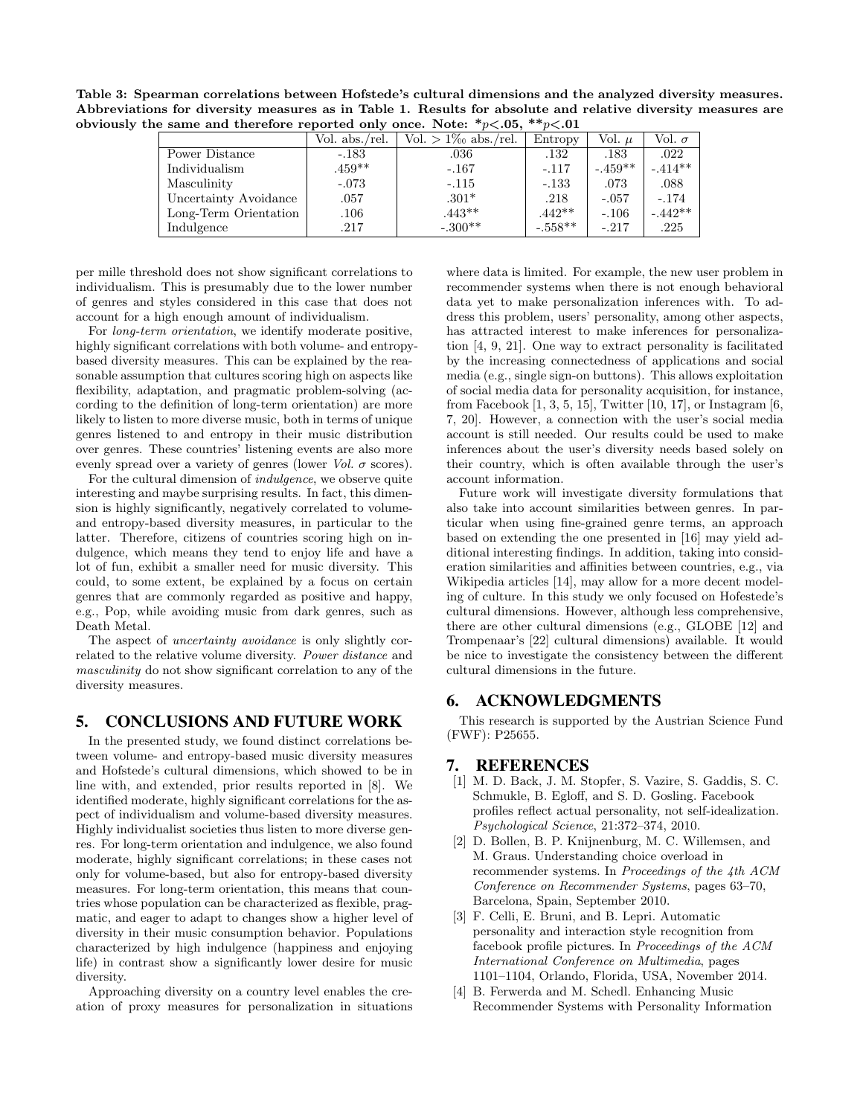Table 3: Spearman correlations between Hofstede's cultural dimensions and the analyzed diversity measures. Abbreviations for diversity measures as in Table 1. Results for absolute and relative diversity measures are obviously the same and therefore reported only once. Note:  $\sqrt[*]{\mathcal{P}}$  > 0.05,  $\sqrt[*]{\mathcal{P}}$  < 0.01

|                       | Vol. abs./rel. | $Vol. > 1\%$ abs./rel. | Entropy   | Vol. $\mu$ | Vol. $\sigma$ |  |  |  |  |  |
|-----------------------|----------------|------------------------|-----------|------------|---------------|--|--|--|--|--|
| Power Distance        | $-.183$        | $.036\,$               | .132      | .183       | .022          |  |  |  |  |  |
| Individualism         | $.459**$       | $-.167$                | $-.117$   | $-.459**$  | $-.414**$     |  |  |  |  |  |
| Masculinity           | $-.073$        | $-.115$                | $-.133$   | .073       | .088          |  |  |  |  |  |
| Uncertainty Avoidance | .057           | $.301*$                | .218      | $-.057$    | $-.174$       |  |  |  |  |  |
| Long-Term Orientation | $.106\,$       | $.443**$               | $.442**$  | $-.106$    | $-.442**$     |  |  |  |  |  |
| Indulgence            | .217           | $-.300**$              | $-.558**$ | $-.217$    | .225          |  |  |  |  |  |

per mille threshold does not show significant correlations to individualism. This is presumably due to the lower number of genres and styles considered in this case that does not account for a high enough amount of individualism.

For long-term orientation, we identify moderate positive, highly significant correlations with both volume- and entropybased diversity measures. This can be explained by the reasonable assumption that cultures scoring high on aspects like flexibility, adaptation, and pragmatic problem-solving (according to the definition of long-term orientation) are more likely to listen to more diverse music, both in terms of unique genres listened to and entropy in their music distribution over genres. These countries' listening events are also more evenly spread over a variety of genres (lower Vol.  $\sigma$  scores).

For the cultural dimension of indulgence, we observe quite interesting and maybe surprising results. In fact, this dimension is highly significantly, negatively correlated to volumeand entropy-based diversity measures, in particular to the latter. Therefore, citizens of countries scoring high on indulgence, which means they tend to enjoy life and have a lot of fun, exhibit a smaller need for music diversity. This could, to some extent, be explained by a focus on certain genres that are commonly regarded as positive and happy, e.g., Pop, while avoiding music from dark genres, such as Death Metal.

The aspect of *uncertainty avoidance* is only slightly correlated to the relative volume diversity. Power distance and masculinity do not show significant correlation to any of the diversity measures.

# 5. CONCLUSIONS AND FUTURE WORK

In the presented study, we found distinct correlations between volume- and entropy-based music diversity measures and Hofstede's cultural dimensions, which showed to be in line with, and extended, prior results reported in [8]. We identified moderate, highly significant correlations for the aspect of individualism and volume-based diversity measures. Highly individualist societies thus listen to more diverse genres. For long-term orientation and indulgence, we also found moderate, highly significant correlations; in these cases not only for volume-based, but also for entropy-based diversity measures. For long-term orientation, this means that countries whose population can be characterized as flexible, pragmatic, and eager to adapt to changes show a higher level of diversity in their music consumption behavior. Populations characterized by high indulgence (happiness and enjoying life) in contrast show a significantly lower desire for music diversity.

Approaching diversity on a country level enables the creation of proxy measures for personalization in situations where data is limited. For example, the new user problem in recommender systems when there is not enough behavioral data yet to make personalization inferences with. To address this problem, users' personality, among other aspects, has attracted interest to make inferences for personalization [4, 9, 21]. One way to extract personality is facilitated by the increasing connectedness of applications and social media (e.g., single sign-on buttons). This allows exploitation of social media data for personality acquisition, for instance, from Facebook  $[1, 3, 5, 15]$ , Twitter  $[10, 17]$ , or Instagram  $[6,$ 7, 20]. However, a connection with the user's social media account is still needed. Our results could be used to make inferences about the user's diversity needs based solely on their country, which is often available through the user's account information.

Future work will investigate diversity formulations that also take into account similarities between genres. In particular when using fine-grained genre terms, an approach based on extending the one presented in [16] may yield additional interesting findings. In addition, taking into consideration similarities and affinities between countries, e.g., via Wikipedia articles [14], may allow for a more decent modeling of culture. In this study we only focused on Hofestede's cultural dimensions. However, although less comprehensive, there are other cultural dimensions (e.g., GLOBE [12] and Trompenaar's [22] cultural dimensions) available. It would be nice to investigate the consistency between the different cultural dimensions in the future.

#### 6. ACKNOWLEDGMENTS

This research is supported by the Austrian Science Fund (FWF): P25655.

#### 7. REFERENCES

- [1] M. D. Back, J. M. Stopfer, S. Vazire, S. Gaddis, S. C. Schmukle, B. Egloff, and S. D. Gosling. Facebook profiles reflect actual personality, not self-idealization. Psychological Science, 21:372–374, 2010.
- [2] D. Bollen, B. P. Knijnenburg, M. C. Willemsen, and M. Graus. Understanding choice overload in recommender systems. In Proceedings of the 4th ACM Conference on Recommender Systems, pages 63–70, Barcelona, Spain, September 2010.
- [3] F. Celli, E. Bruni, and B. Lepri. Automatic personality and interaction style recognition from facebook profile pictures. In Proceedings of the ACM International Conference on Multimedia, pages 1101–1104, Orlando, Florida, USA, November 2014.
- [4] B. Ferwerda and M. Schedl. Enhancing Music Recommender Systems with Personality Information